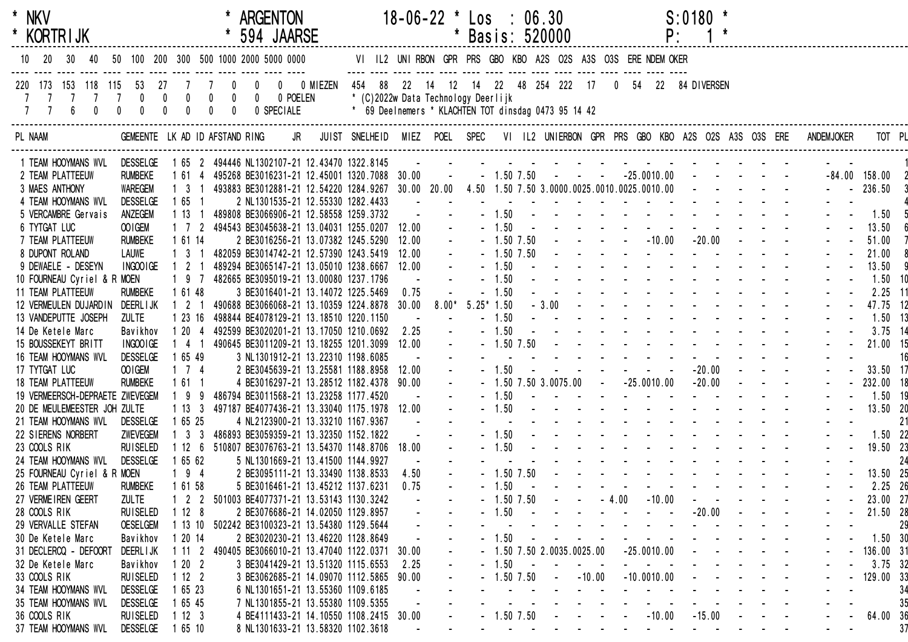| * NKV<br>* KORTRIJK                                  |                                |                                                                                                           | <b>ARGENTON</b><br>594 JAARSE                                                                             |                                                                                             |       | $18-06-22$ * Los : 06.30 | * Basis: 520000 |                    |                |                                                   |          |         | P:                                                                                                              | $S:0180$ * |            |  |                   |                 |
|------------------------------------------------------|--------------------------------|-----------------------------------------------------------------------------------------------------------|-----------------------------------------------------------------------------------------------------------|---------------------------------------------------------------------------------------------|-------|--------------------------|-----------------|--------------------|----------------|---------------------------------------------------|----------|---------|-----------------------------------------------------------------------------------------------------------------|------------|------------|--|-------------------|-----------------|
| 10                                                   |                                |                                                                                                           | 50 100 200 300 500 1000 2000 5000 0000                                                                    | VI IL2 UNIRBON GPR PRS GBO KBO A2S O2S A3S O3S ERE NDEM OKER                                |       |                          |                 |                    |                |                                                   |          |         |                                                                                                                 |            |            |  |                   |                 |
| 173 153 118 115<br>$6\phantom{a}$<br>$\mathbf{0}$    | 27<br>7 7 0 0<br>$\mathbf{0}$  | $\begin{smallmatrix}0\0\0\end{smallmatrix}$<br>$\begin{smallmatrix}0\0\0\end{smallmatrix}$<br>$\mathbf 0$ | 0 0 0 MIEZEN 454 88 22 14 12 14 22 48 254 222 17                                                          | * (C)2022w Data Technology Deerlijk<br>* 69 Deelnemers * KLACHTEN TOT dinsdag 0473 95 14 42 |       |                          |                 |                    |                |                                                   |          |         | 0 54 22 84 DIVERSEN                                                                                             |            |            |  |                   |                 |
| PL NAAM                                              | GEMEENTE LK AD ID AFSTAND RING |                                                                                                           | JR JUIST SNELHEID MIEZ POEL SPEC VI IL2 UNIERBON GPR PRS GBO KBO A2S O2S A3S O3S ERE                      |                                                                                             |       |                          |                 |                    |                |                                                   |          |         |                                                                                                                 |            |            |  | <b>ANDEMJOKER</b> | TOT PL          |
| 1 TEAM HOOYMANS WVL DESSELGE<br>2 TEAM PLATTEEUW     | <b>RUMBEKE</b>                 | 1 61 4                                                                                                    | 1 65 2 494446 NL1302107-21 12.43470 1322.8145<br>495268 BE3016231-21 12.45001 1320.7088 30.00             |                                                                                             |       | $\sim 100$ km $^{-1}$    |                 |                    |                | $-1.507.50$ $  -25.0010.00$ $   -$                |          |         |                                                                                                                 |            |            |  |                   | $-84.00$ 158.00 |
| 3 MAES ANTHONY                                       | <b>WAREGEM</b>                 | $1 \quad 3 \quad 1$                                                                                       | 493883 BE3012881-21 12.54220 1284.9267 30.00 20.00 4.50 1.50 7.50 3.0000.0025.0010.0025.0010.00 - - - - - |                                                                                             |       |                          |                 |                    |                |                                                   |          |         |                                                                                                                 |            |            |  | $ -$ 236.50       |                 |
| 4 TEAM HOOYMANS WVL                                  | <b>DESSELGE</b>                | 1 65 1                                                                                                    | 2 NL1301535-21 12.55330 1282.4433                                                                         |                                                                                             |       |                          |                 |                    |                | the contract of the contract of the contract of   |          |         |                                                                                                                 |            |            |  |                   |                 |
| 5 VERCAMBRE Gervais<br>6 TYTGAT LUC                  | ANZEGEM<br>OO IGEM             | 1131                                                                                                      | 489808 BE3066906-21 12.58558 1259.3732<br>1 7 2 494543 BE3045638-21 13.04031 1255.0207                    |                                                                                             | 12.00 |                          |                 | $-1.50$<br>$-1.50$ |                |                                                   |          |         | the contract of the contract of the contract of the contract of the contract of the contract of the contract of |            |            |  |                   | 1.50<br>13.50   |
| 7 TEAM PLATTEEUW                                     | <b>RUMBEKE</b>                 | 1 61 14                                                                                                   | 2 BE3016256-21 13.07382 1245.5290                                                                         |                                                                                             | 12.00 |                          |                 |                    | $-1.50$ $7.50$ |                                                   |          |         | $    10.00$ $ 20.00$ $  -$                                                                                      |            |            |  |                   | 51.00           |
| 8 DUPONT ROLAND                                      | <b>LAUWE</b>                   | $1 \t3 \t1$                                                                                               | 482059 BE3014742-21 12.57390 1243.5419                                                                    |                                                                                             | 12.00 |                          |                 |                    | $-1.50$ 7.50   |                                                   |          |         |                                                                                                                 |            |            |  |                   | 21.00           |
| 9 DEWAELE - DESEYN                                   | INGOO IGE                      | 2 1                                                                                                       | 489294 BE3065147-21 13.05010 1238.6667                                                                    |                                                                                             | 12.00 |                          |                 | $-1.50$            |                |                                                   |          |         |                                                                                                                 |            |            |  |                   | 13.50           |
| 10 FOURNEAU Cyriel & R MOEN                          |                                | 197                                                                                                       | 482665 BE3095019-21 13.00080 1237.1796                                                                    |                                                                                             |       |                          |                 | $-1.50$            |                |                                                   |          |         |                                                                                                                 |            |            |  |                   | $1.50$ 10       |
| 11 TEAM PLATTEEUW                                    | <b>RUMBEKE</b>                 | 1 61 48                                                                                                   | 3 BE3016401-21 13.14072 1225.5469                                                                         |                                                                                             | 0.75  |                          |                 | 1.50               |                |                                                   |          |         |                                                                                                                 |            |            |  |                   | $2.25$ 11       |
| 12 VERMEULEN DUJARDIN                                | DEERL I JK                     | 2 1                                                                                                       | 490688 BE3066068-21 13.10359 1224.8878                                                                    |                                                                                             | 30.00 | $8.00*$                  | $5.25*1.50$     |                    |                | $-3.00$                                           |          |         |                                                                                                                 |            |            |  |                   | 47.75 12        |
| 13 VANDEPUTTE JOSEPH                                 | <b>ZULTE</b>                   | 1 23 16                                                                                                   | 498844 BE4078129-21 13.18510 1220.1150                                                                    |                                                                                             |       |                          |                 | $-1.50$            |                |                                                   |          |         |                                                                                                                 |            |            |  |                   | $1.50$ 13       |
| 14 De Ketele Marc                                    | Bavikhov                       | 1204                                                                                                      | 492599 BE3020201-21 13.17050 1210.0692                                                                    |                                                                                             | 2.25  |                          |                 | $-1.50$            |                |                                                   |          |         |                                                                                                                 |            |            |  |                   | $3.75$ 14       |
| 15 BOUSSEKEYT BRITT                                  | INGOO IGE                      | 1 4 1                                                                                                     | 490645 BE3011209-21 13.18255 1201.3099                                                                    |                                                                                             | 12.00 |                          |                 |                    | $-1.50$ 7.50   |                                                   |          |         |                                                                                                                 |            |            |  |                   | 21.00 15        |
| 16 TEAM HOOYMANS WVL                                 | <b>DESSELGE</b>                | 1 65 49                                                                                                   | 3 NL1301912-21 13.22310 1198.6085                                                                         |                                                                                             |       |                          |                 |                    |                |                                                   |          |         |                                                                                                                 |            |            |  |                   | 16              |
| 17 TYTGAT LUC                                        | OO IGEM                        | $1 \quad 7 \quad 4$                                                                                       | 2 BE3045639-21 13.25581 1188.8958                                                                         |                                                                                             | 12.00 |                          |                 | $-1.50$            |                |                                                   |          |         |                                                                                                                 |            |            |  |                   | 33.50 17        |
| 18 TEAM PLATTEEUW                                    | <b>RUMBEKE</b>                 | 1 61 1                                                                                                    | 4 BE3016297-21 13.28512 1182.4378 90.00                                                                   |                                                                                             |       |                          |                 |                    |                | $-1.50$ 7.50 3.0075.00 $-25.0010.00$ $-20.00$ $-$ |          |         |                                                                                                                 |            |            |  |                   | 232.00 18       |
| 19 VERMEERSCH-DEPRAETE ZWEVEGEM                      |                                | 99                                                                                                        | 486794 BE3011568-21 13.23258 1177.4520                                                                    |                                                                                             |       |                          |                 | $-1.50$            |                |                                                   |          |         | and a series of the contract of the series<br>المناطق والمناطق والمناطق والمناطق والمناطق                       |            |            |  |                   | 1.50 19         |
| 20 DE MEULEMEESTER JOH ZULTE<br>21 TEAM HOOYMANS WVL | <b>DESSELGE</b>                | 1133<br>1 65 25                                                                                           | 497187 BE4077436-21 13.33040 1175.1978<br>4 NL2123900-21 13.33210 1167.9367                               |                                                                                             | 12.00 |                          |                 | $-1.50$            |                |                                                   |          |         | the contract of the contract of the contract of                                                                 |            |            |  |                   | 13.50 20<br>21  |
| 22 SIERENS NORBERT                                   | <b>ZWEVEGEM</b>                | $1 \quad 3 \quad 3$                                                                                       | 486893 BE3059359-21 13.32350 1152.1822                                                                    |                                                                                             |       |                          |                 | $-1.50$            |                |                                                   |          |         | the contract of the contract of the contract of                                                                 |            |            |  |                   | $1.50$ 22       |
| 23 COOLS RIK                                         | <b>RUISELED</b>                | 1126                                                                                                      | 510807 BE3076763-21 13.54370 1148.8706                                                                    |                                                                                             | 18.00 |                          |                 | $-1.50$            |                |                                                   |          |         |                                                                                                                 |            |            |  |                   | 19.50 23        |
| 24 TEAM HOOYMANS WVL                                 | DESSELGE                       | 1 65 62                                                                                                   | 5 NL1301669-21 13.41500 1144.9927                                                                         |                                                                                             |       |                          |                 |                    |                |                                                   |          |         | and the state of the state of the state of the state of the state of the state of the state of the state of the |            |            |  |                   | 24              |
| 25 FOURNEAU Cyriel & R MOEN                          |                                | $194$                                                                                                     | 2 BE3095111-21 13.33490 1138.8533                                                                         |                                                                                             | 4.50  |                          |                 |                    |                |                                                   |          |         |                                                                                                                 |            |            |  |                   | 13.50 25        |
| 26 TEAM PLATTEEUW                                    | <b>RUMBEKE</b>                 | 1 61 58                                                                                                   | 5 BE3016461-21 13.45212 1137.6231                                                                         |                                                                                             | 0.75  |                          |                 | $-1.50$            |                |                                                   |          |         |                                                                                                                 |            |            |  |                   | $2.25$ 26       |
| 27 VERMEIREN GEERT                                   | <b>ZULTE</b>                   | 2                                                                                                         | 501003 BE4077371-21 13.53143 1130.3242                                                                    |                                                                                             |       |                          |                 |                    | $-1.50$ 7.50   |                                                   |          | $-4.00$ | $-10.00$                                                                                                        |            |            |  |                   | 23.00 27        |
| 28 COOLS RIK                                         | <b>RUISELED</b>                | 1128                                                                                                      | 2 BE3076686-21 14.02050 1129.8957                                                                         |                                                                                             |       |                          |                 | 1.50               |                |                                                   |          |         |                                                                                                                 |            | $-20.00$   |  |                   | 21.50 28        |
| 29 VERVALLE STEFAN                                   | <b>OESELGEM</b>                | 1 13 10                                                                                                   | 502242 BE3100323-21 13.54380 1129.5644                                                                    |                                                                                             |       |                          |                 |                    |                |                                                   |          |         |                                                                                                                 |            |            |  |                   | 29              |
| 30 De Ketele Marc                                    | Bavikhov                       | 1 20 14                                                                                                   | 2 BE3020230-21 13.46220 1128.8649                                                                         |                                                                                             |       |                          |                 | 1.50               |                |                                                   |          |         |                                                                                                                 |            |            |  |                   | 1.50.30         |
| 31 DECLERCQ - DEFOORT                                | <b>DEERLIJK</b>                | 1112                                                                                                      | 490405 BE3066010-21 13.47040 1122.0371                                                                    |                                                                                             | 30.00 |                          |                 |                    |                | $-1.50$ 7.50 2.0035.0025.00                       |          |         | $-25.0010.00$                                                                                                   |            |            |  |                   | 136.00 31       |
| 32 De Ketele Marc                                    | Bavikhov                       | 1202                                                                                                      | 3 BE3041429-21 13.51320 1115.6553                                                                         |                                                                                             | 2.25  |                          |                 | $-1.50$            |                |                                                   |          |         |                                                                                                                 |            |            |  |                   | $3.75$ 32       |
| 33 COOLS RIK                                         | <b>RUISELED</b>                | 1122                                                                                                      | 3 BE3062685-21 14.09070 1112.5865                                                                         |                                                                                             | 90.00 |                          |                 |                    | $1.50\,7.50$   |                                                   | $-10.00$ |         | $-10.0010.00$                                                                                                   |            |            |  |                   | 129.00 33       |
| 34 TEAM HOOYMANS WVL                                 | <b>DESSELGE</b>                | 1 65 23                                                                                                   | 6 NL1301651-21 13.55360 1109.6185                                                                         |                                                                                             |       |                          |                 |                    |                |                                                   |          |         |                                                                                                                 |            |            |  |                   | 34              |
| 35 TEAM HOOYMANS WVL                                 | <b>DESSELGE</b>                | 1 65 45                                                                                                   | 7 NL1301855-21 13.55380 1109.5355                                                                         |                                                                                             |       |                          |                 |                    |                |                                                   |          |         |                                                                                                                 |            |            |  |                   | 35              |
| 36 COOLS RIK                                         | <b>RUISELED</b>                | 1123                                                                                                      | 4 BE4111433-21 14.10550 1108.2415 30.00                                                                   |                                                                                             |       |                          |                 |                    | 1.50 7.50      |                                                   |          |         | $-10.00$                                                                                                        |            | $-15.00$   |  |                   | 64.00 36        |
| 37 TEAM HOOYMANS WVL                                 | <b>DESSELGE</b>                | 1 65 10                                                                                                   | 8 NL1301633-21 13.58320 1102.3618                                                                         |                                                                                             |       |                          |                 |                    |                |                                                   |          |         | $\sim 100$                                                                                                      | $\sim$     | $\sim 100$ |  |                   | 37              |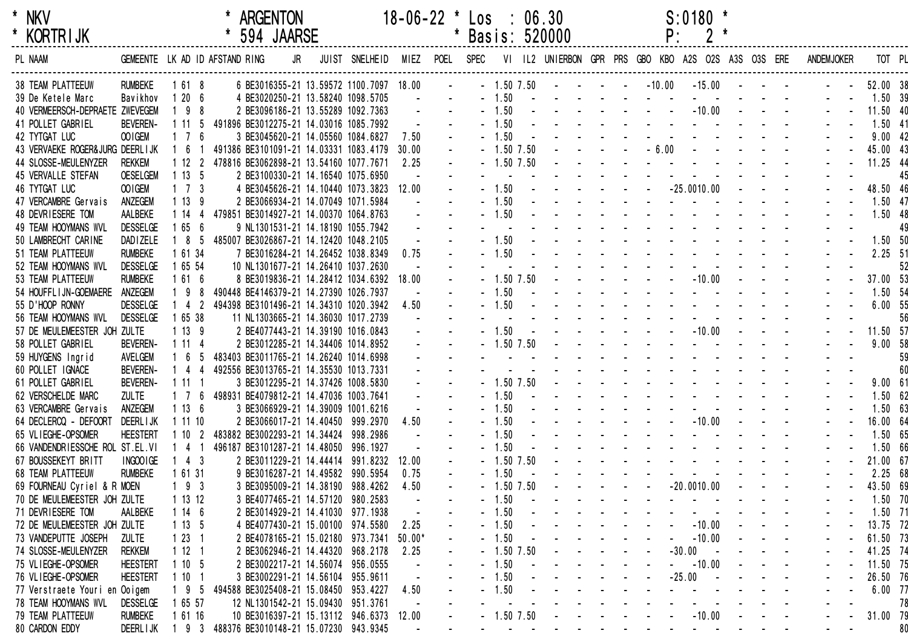| $\star$ | <b>NKV</b>      |  |
|---------|-----------------|--|
| *       | <b>KORTRIJK</b> |  |

| <b>KORTRIJK</b>                    |                                |                     | 594 JAARSE                   |    |                                         |          |           |         |                | Basis: 520000                                       | Ρ.       |                  |  |                   |           |    |
|------------------------------------|--------------------------------|---------------------|------------------------------|----|-----------------------------------------|----------|-----------|---------|----------------|-----------------------------------------------------|----------|------------------|--|-------------------|-----------|----|
| PL NAAM                            | GEMEENTE LK AD ID AFSTAND RING |                     |                              | JR | JUIST SNELHEID                          | MIEZ     | POEL SPEC |         |                | VI IL2 UNIERBON GPR PRS GBO KBO A2S O2S A3S O3S ERE |          |                  |  | <b>ANDEMJOKER</b> | TOT PL    |    |
| <b>38 TEAM PLATTEEUW</b>           | <b>RUMBEKE</b>                 | 1 61 8              |                              |    | 6 BE3016355-21 13.59572 1100.7097 18.00 |          |           |         | $-1.50$ 7.50   |                                                     | $-10.00$ | $-15.00 -$       |  |                   | 52.00 38  |    |
| 39 De Ketele Marc                  | Bavikhov                       | 1206                |                              |    | 4 BE3020250-21 13.58240 1098.5705       |          |           | $-1.50$ |                |                                                     |          |                  |  |                   | 1.50 39   |    |
| 40 VERMEERSCH-DEPRAETE ZWEVEGEM    |                                | $198$               |                              |    | 2 BE3096186-21 13.55289 1092.7363       |          |           |         | 1.50           |                                                     |          | $-10.00$         |  |                   | 11.50 40  |    |
| 41 POLLET GABRIEL                  | <b>BEVEREN-</b>                | 1 11 5              |                              |    | 491896 BE3012275-21 14.03016 1085.7992  |          |           |         | 1.50           |                                                     |          |                  |  |                   | $1.50$ 41 |    |
| 42 TYTGAT LUC                      | OOIGEM                         | $1 \quad 7 \quad 6$ |                              |    | 3 BE3045620-21 14.05560 1084.6827       | 7.50     |           |         | 1.50           |                                                     |          |                  |  |                   | 9.0042    |    |
| 43 VERVAEKE ROGER& JURG DEERL I JK |                                | 6 1                 |                              |    | 491386 BE3101091-21 14.03331 1083.4179  | 30.00    |           |         | 1.50 7.50      |                                                     | $-6.00$  |                  |  |                   | 45.00 43  |    |
| 44 SLOSSE-MEULENYZER               | <b>REKKEM</b>                  | 1122                |                              |    | 478816 BE3062898-21 13.54160 1077.7671  | 2.25     |           |         | $-1.50$ 7.50   |                                                     |          |                  |  |                   | 11.25 44  |    |
| 45 VERVALLE STEFAN                 | <b>OESELGEM</b>                | 1135                |                              |    | 2 BE3100330-21 14.16540 1075.6950       |          |           |         |                |                                                     |          |                  |  |                   |           | 45 |
| <b>46 TYTGAT LUC</b>               | OOIGEM                         | $1 \quad 7 \quad 3$ |                              |    | 4 BE3045626-21 14.10440 1073.3823       | 12.00    |           |         | 1.50           |                                                     |          | $-25.0010.00$    |  |                   | 48.50 46  |    |
| 47 VERCAMBRE Gervais               | ANZEGEM                        | 1139                |                              |    | 2 BE3066934-21 14.07049 1071.5984       |          |           |         | 1.50           |                                                     |          |                  |  |                   | $1.50$ 47 |    |
| 48 DEVRIESERE TOM                  | AALBEKE                        | 1144                |                              |    | 479851 BE3014927-21 14.00370 1064.8763  |          |           |         | 1.50           |                                                     |          |                  |  |                   | 1.50 48   |    |
| 49 TEAM HOOYMANS WVL               | <b>DESSELGE</b>                | 1656                |                              |    | 9 NL1301531-21 14.18190 1055.7942       |          |           |         |                |                                                     |          |                  |  |                   |           | 49 |
| 50 LAMBRECHT CARINE                | DAD I ZELE                     | $185$               |                              |    | 485007 BE3026867-21 14.12420 1048.2105  |          |           |         | 1.50           |                                                     |          |                  |  |                   | 1.50 50   |    |
| 51 TEAM PLATTEEUW                  | <b>RUMBEKE</b>                 | 1 61 34             |                              |    | 7 BE3016284-21 14.26452 1038.8349       | 0.75     |           |         | 1.50           |                                                     |          |                  |  |                   | 2.25 51   |    |
| 52 TEAM HOOYMANS WVL               | <b>DESSELGE</b>                | 1 65 54             |                              |    | 10 NL1301677-21 14.26410 1037.2630      |          |           |         |                |                                                     |          |                  |  |                   |           | 52 |
| 53 TEAM PLATTEEUW                  | <b>RUMBEKE</b>                 | 1616                |                              |    | 8 BE3019836-21 14.28412 1034.6392       | 18.00    |           |         | $-1.50$ $7.50$ |                                                     |          | $-10.00$         |  |                   | 37.00 53  |    |
| 54 HOUFFLIJN-GOEMAERE              | ANZEGEM                        | 198                 |                              |    | 490448 BE4146379-21 14.27390 1026.7937  |          |           |         | 1.50           |                                                     |          |                  |  |                   | 1.50 54   |    |
| 55 D'HOOP RONNY                    | <b>DESSELGE</b>                | $142$               |                              |    | 494398 BE3101496-21 14.34310 1020.3942  | 4.50     |           |         | 1.50           |                                                     |          |                  |  |                   | 6.00 55   |    |
| 56 TEAM HOOYMANS WVL               | <b>DESSELGE</b>                | 1 65 38             |                              |    | 11 NL1303665-21 14.36030 1017.2739      |          |           |         |                |                                                     |          |                  |  |                   |           | 56 |
| 57 DE MEULEMEESTER JOH ZULTE       |                                | 1139                |                              |    | 2 BE4077443-21 14.39190 1016.0843       |          |           |         | 1.50           |                                                     |          | $-10.00$         |  |                   | 11.50 57  |    |
| 58 POLLET GABRIEL                  | <b>BEVEREN-</b>                | 1114                |                              |    | 2 BE3012285-21 14.34406 1014.8952       |          |           |         | 1.50 7.50      |                                                     |          |                  |  |                   | 9.0058    |    |
| 59 HUYGENS Ingrid                  | AVELGEM                        | 165                 |                              |    | 483403 BE3011765-21 14.26240 1014.6998  |          |           |         |                |                                                     |          |                  |  |                   |           | 59 |
| 60 POLLET IGNACE                   | <b>BEVEREN-</b>                | 144                 |                              |    | 492556 BE3013765-21 14.35530 1013.7331  |          |           |         |                |                                                     |          |                  |  |                   |           | 60 |
| 61 POLLET GABRIEL                  | <b>BEVEREN-</b>                | 1111                |                              |    | 3 BE3012295-21 14.37426 1008.5830       |          |           |         | $-1.50$ 7.50   |                                                     |          |                  |  |                   | 9.0061    |    |
| 62 VERSCHELDE MARC                 | <b>ZULTE</b>                   | $1\quad 7\quad 6$   |                              |    | 498931 BE4079812-21 14.47036 1003.7641  |          |           |         | 1.50           |                                                     |          |                  |  |                   | 1.5062    |    |
| 63 VERCAMBRE Gervais               | ANZEGEM                        | 1136                |                              |    | 3 BE3066929-21 14.39009 1001.6216       |          |           |         | 1.50           |                                                     |          |                  |  |                   | 1.50 63   |    |
| 64 DECLERCQ - DEFOORT              | DEERL I JK                     | 1 11 10             |                              |    | 2 BE3066017-21 14.40450 999.2970        | 4.50     |           |         | 1.50           |                                                     |          | $-10.00$         |  |                   | 16.00 64  |    |
| 65 VLIEGHE-OPSOMER                 | <b>HEESTERT</b>                | 1102                |                              |    | 483882 BE3002293-21 14.34424 998.2986   |          |           |         | 1.50           |                                                     |          |                  |  |                   | 1.50 65   |    |
| 66 VANDENDRIESSCHE ROL ST.EL.VI    |                                | 4 1                 | 496187 BE3101287-21 14.48050 |    | 996.1927                                |          |           |         | 1.50           |                                                     |          |                  |  |                   | 1.50 66   |    |
| 67 BOUSSEKEYT BRITT                | INGOOIGE                       | $4 \quad 3$         |                              |    | 2 BE3011229-21 14.44414 991.8232        | 12.00    |           |         | 1.50 7.50      |                                                     |          |                  |  |                   | 21.00 67  |    |
| <b>68 TEAM PLATTEEUW</b>           | <b>RUMBEKE</b>                 | 1 61 31             |                              |    | 9 BE3016287-21 14.49582 990.5954        | 0.75     |           |         | 1.50           |                                                     |          |                  |  |                   | 2.25 68   |    |
| 69 FOURNEAU Cyriel & R MOEN        |                                | $193$               |                              |    | 3 BE3095009-21 14.38190 988.4262        | 4.50     |           |         | 1.50 7.50      |                                                     |          | $-20.0010.00$    |  |                   | 43.50 69  |    |
| 70 DE MEULEMEESTER JOH ZULTE       |                                | 1 13 12             |                              |    | 3 BE4077465-21 14.57120 980.2583        |          |           |         | 1.50           |                                                     |          |                  |  |                   | $1.50$ 70 |    |
| 71 DEVRIESERE TOM                  | AALBEKE                        | 1146                |                              |    | 2 BE3014929-21 14.41030 977.1938        |          |           |         | 1.50           |                                                     |          |                  |  |                   | $1.50$ 71 |    |
| 72 DE MEULEMEESTER JOH ZULTE       |                                | 1135                |                              |    | 4 BE4077430-21 15.00100 974.5580        | 2.25     |           |         | 1.50           |                                                     |          | $-10.00$         |  |                   | 13.75 72  |    |
| 73 VANDEPUTTE JOSEPH               | <b>ZULTE</b>                   | 1231                |                              |    | 2 BE4078165-21 15.02180 973.7341        | $50.00*$ |           |         | 1.50           |                                                     |          | $-10.00$         |  |                   | 61.50 73  |    |
| 74 SLOSSE-MEULENYZER               | <b>REKKEM</b>                  | 1121                |                              |    | 2 BE3062946-21 14.44320 968.2178        | 2.25     |           |         | 1.50 7.50      |                                                     |          | $-30.00$         |  |                   | 41.25 74  |    |
| 75 VLIEGHE-OPSOMER                 | <b>HEESTERT</b>                | 1105                |                              |    | 2 BE3002217-21 14.56074 956.0555        |          |           |         | 1.50           |                                                     |          | $-10.00$         |  |                   | 11.50 75  |    |
| 76 VLIEGHE-OPSOMER                 | <b>HEESTERT</b>                | 1101                |                              |    | 3 BE3002291-21 14.56104 955.9611        |          |           |         | 1.50           |                                                     |          | $-25.00$         |  |                   | 26.50 76  |    |
| 77 Verstraete Youri en Ooigem      |                                | 9 <sub>5</sub>      | 494588 BE3025408-21 15.08450 |    | 953.4227                                | 4.50     |           |         | 1.50           |                                                     |          |                  |  |                   | $6.00$ 77 |    |
| 78 TEAM HOOYMANS WVL               | <b>DESSELGE</b>                | 1 65 57             |                              |    | 12 NL1301542-21 15.09430 951.3761       |          |           |         |                |                                                     |          |                  |  |                   |           | 78 |
| 79 TEAM PLATTEEUW                  | <b>RUMBEKE</b>                 | 1 61 16             |                              |    | 10 BE3016397-21 15.13112 946.6373 12.00 |          |           |         | 1.50 7.50      |                                                     |          | $-10.00$         |  |                   | 31.00 79  |    |
| 80 CARDON EDDY                     | DEERL I JK                     | 193                 |                              |    | 488376 BE3010148-21 15.07230 943.9345   |          |           |         |                |                                                     |          | and the state of |  |                   |           | 80 |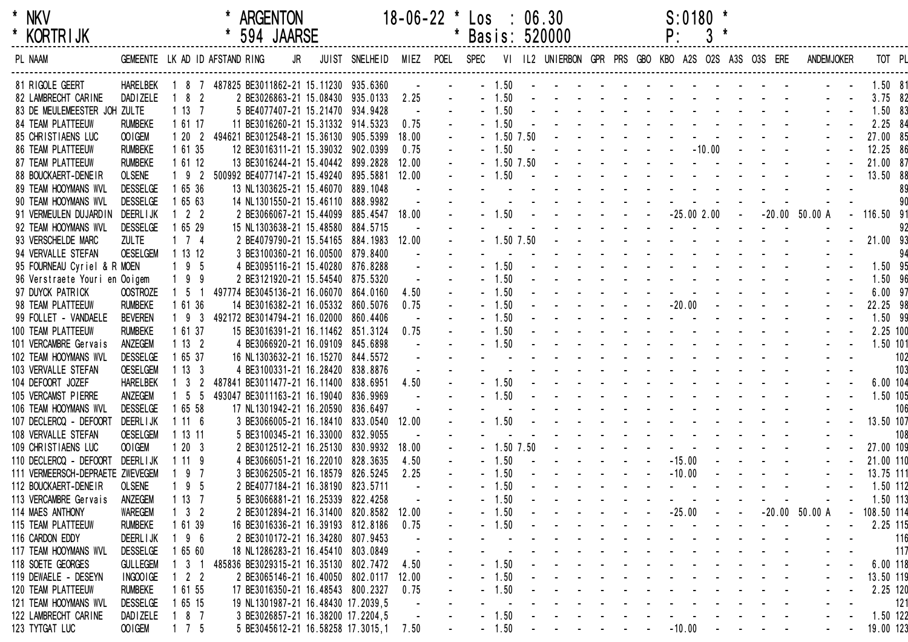| ÷ | <b>NKV</b> |
|---|------------|
| * | KORTRI JK  |

| <b>KORIRIJK</b>                  |                                |                     | 594 JAARSE                                  |    |                |       |      |             |                | Basis: 520000                                       |                                     | Ρ:           |          |                                                                                             |                   |            |     |
|----------------------------------|--------------------------------|---------------------|---------------------------------------------|----|----------------|-------|------|-------------|----------------|-----------------------------------------------------|-------------------------------------|--------------|----------|---------------------------------------------------------------------------------------------|-------------------|------------|-----|
| PL NAAM                          | GEMEENTE LK AD ID AFSTAND RING |                     |                                             | JR | JUIST SNELHEID | MIEZ  | POEL | <b>SPEC</b> |                | VI IL2 UNIERBON GPR PRS GBO KBO A2S O2S A3S O3S ERE |                                     |              |          |                                                                                             | <b>ANDEMJOKER</b> | TOT PL     |     |
| 81 RIGOLE GEERT                  | <b>HARELBEK</b>                |                     | 1 8 7 487825 BE3011862-21 15.11230 935.6360 |    |                |       |      |             | $-1.50$        |                                                     |                                     |              |          |                                                                                             |                   | 1.50 81    |     |
| 82 LAMBRECHT CARINE              | <b>DADIZELE</b>                | $182$               | 2 BE3026863-21 15.08430 935.0133            |    |                | 2.25  |      |             | $-1.50$        |                                                     |                                     |              |          |                                                                                             |                   | 3.75 82    |     |
| 83 DE MEULEMEESTER JOH ZULTE     |                                | 1137                | 5 BE4077407-21 15.21470 934.9428            |    |                |       |      |             | $-1.50$        |                                                     |                                     |              |          |                                                                                             |                   | 1.50 83    |     |
| <b>84 TEAM PLATTEEUW</b>         | <b>RUMBEKE</b>                 | 1 61 17             | 11 BE3016260-21 15.31332 914.5323           |    |                | 0.75  |      |             | $-1.50$        |                                                     |                                     |              |          |                                                                                             |                   | 2.25 84    |     |
| 85 CHRISTIAENS LUC               | OOIGEM                         | 1202                | 494621 BE3012548-21 15.36130 905.5399       |    |                | 18.00 |      |             | $-1.50$ $7.50$ |                                                     |                                     |              |          |                                                                                             |                   | 27.00 85   |     |
| 86 TEAM PLATTEEUW                | <b>RUMBEKE</b>                 | 1 61 35             | 12 BE3016311-21 15.39032 902.0399           |    |                | 0.75  |      |             | $-1.50$        |                                                     |                                     |              | $-10.00$ |                                                                                             |                   | 12.25 86   |     |
| <b>87 TEAM PLATTEEUW</b>         | <b>RUMBEKE</b>                 | 1 61 12             | 13 BE3016244-21 15.40442 899.2828           |    |                | 12.00 |      |             | $-1.50$ 7.50   |                                                     |                                     |              |          |                                                                                             |                   | 21.00 87   |     |
| 88 BOUCKAERT-DENEIR              | <b>OLSENE</b>                  | $192$               | 500992 BE4077147-21 15.49240 895.5881       |    |                | 12.00 |      |             | $-1.50$        |                                                     |                                     |              |          |                                                                                             |                   | 13.50 88   |     |
| 89 TEAM HOOYMANS WVL             | <b>DESSELGE</b>                | 1 65 36             | 13 NL1303625-21 15.46070 889.1048           |    |                |       |      |             |                |                                                     |                                     |              |          |                                                                                             |                   |            | 89  |
| 90 TEAM HOOYMANS WVL             | <b>DESSELGE</b>                | 1 65 63             | 14 NL1301550-21 15.46110 888.9982           |    |                |       |      |             |                |                                                     |                                     |              |          |                                                                                             |                   |            |     |
| 91 VERMEULEN DUJARDIN            | <b>DEERL I JK</b>              | $1 \quad 2 \quad 2$ | 2 BE3066067-21 15.44099                     |    | 885.4547 18.00 |       |      |             | $-1.50$        |                                                     |                                     | $-25.002.00$ |          |                                                                                             | $-20.00$ 50.00 A  | 116.50 91  |     |
| 92 TEAM HOOYMANS WVL             | <b>DESSELGE</b>                | 1 65 29             | 15 NL1303638-21 15.48580 884.5715           |    |                |       |      |             |                |                                                     |                                     |              |          |                                                                                             |                   |            | 92  |
| 93 VERSCHELDE MARC               | <b>ZULTE</b>                   | $1 \quad 7 \quad 4$ | 2 BE4079790-21 15.54165 884.1983 12.00      |    |                |       |      |             | $-1.50$ $7.50$ |                                                     |                                     |              |          |                                                                                             |                   | 21.00 93   |     |
| 94 VERVALLE STEFAN               | <b>OESELGEM</b>                | 1 13 12             | 3 BE3100360-21 16.00500 879.8400            |    |                |       |      |             |                |                                                     |                                     |              |          |                                                                                             |                   |            | 94  |
| 95 FOURNEAU Cyriel & R MOEN      |                                | 195                 | 4 BE3095116-21 15.40280 876.8288            |    |                |       |      |             | $-1.50$        |                                                     |                                     |              |          |                                                                                             |                   | 1.50 95    |     |
| 96 Verstraete Youri en Ooigem    |                                | $199$               | 2 BE3121920-21 15.54540 875.5320            |    |                |       |      |             | $-1.50$        |                                                     |                                     |              |          |                                                                                             |                   | 1.50 96    |     |
| 97 DUYCK PATRICK                 | <b>OOSTROZE</b>                | $1\quad5$           | 497774 BE3045136-21 16.06070                |    | 864.0160       | 4.50  |      |             | $-1.50$        |                                                     |                                     |              |          |                                                                                             |                   | $6.00$ 97  |     |
| 98 TEAM PLATTEEUW                | <b>RUMBEKE</b>                 | 1 61 36             | 14 BE3016382-21 16.05332                    |    | 860.5076       | 0.75  |      |             | $-1.50$        |                                                     |                                     | $-20.00$     |          |                                                                                             |                   | 22.25 98   |     |
| 99 FOLLET - VANDAELE             | <b>BEVEREN</b>                 | 193                 | 492172 BE3014794-21 16.02000                |    | 860.4406       |       |      |             | $-1.50$        |                                                     |                                     |              |          |                                                                                             |                   | 1.50 99    |     |
| 100 TEAM PLATTEEUW               | <b>RUMBEKE</b>                 | 1 61 37             | 15 BE3016391-21 16.11462 851.3124           |    |                | 0.75  |      |             | $-1.50$        |                                                     |                                     |              |          |                                                                                             |                   | 2.25 100   |     |
| 101 VERCAMBRE Gervais            | ANZEGEM                        | 1132                | 4 BE3066920-21 16.09109                     |    | 845.6898       |       |      |             | $-1.50$        |                                                     |                                     |              |          |                                                                                             |                   | 1.50 101   |     |
| 102 TEAM HOOYMANS WVL            | <b>DESSELGE</b>                | 1 65 37             | 16 NL1303632-21 16.15270 844.5572           |    |                |       |      |             |                |                                                     |                                     |              |          |                                                                                             |                   |            | 102 |
| 103 VERVALLE STEFAN              | <b>OESELGEM</b>                | 1133                | 4 BE3100331-21 16.28420                     |    | 838.8876       |       |      |             |                |                                                     |                                     |              |          |                                                                                             |                   |            | 103 |
| 104 DEFOORT JOZEF                | <b>HARELBEK</b>                | 3                   | 487841 BE3011477-21 16.11400                |    | 838.6951       | 4.50  |      |             | $-1.50$        |                                                     |                                     |              |          |                                                                                             |                   | 6.00 104   |     |
| 105 VERCAMST PIERRE              | ANZEGEM                        | $1\quad5\quad5$     | 493047 BE3011163-21 16.19040                |    | 836.9969       |       |      |             | $-1.50$        |                                                     |                                     |              |          |                                                                                             |                   | 1.50 105   |     |
| 106 TEAM HOOYMANS WVL            | <b>DESSELGE</b>                | 1 65 58             | 17 NL1301942-21 16.20590                    |    | 836.6497       |       |      |             |                |                                                     |                                     |              |          |                                                                                             |                   |            | 106 |
| 107 DECLERCQ - DEFOORT           | <b>DEERL I JK</b>              | 1116                | 3 BE3066005-21 16.18410 833.0540            |    |                | 12.00 |      |             | $-1.50$        |                                                     |                                     |              |          |                                                                                             |                   | 13.50 107  |     |
| 108 VERVALLE STEFAN              | <b>OESELGEM</b>                | 1 13 11             | 5 BE3100345-21 16.33000                     |    | 832.9055       |       |      |             |                |                                                     |                                     |              |          |                                                                                             |                   |            | 108 |
| 109 CHRISTIAENS LUC              | OOIGEM                         | 1203                | 2 BE3012512-21 16.25130                     |    | 830.9932       | 18.00 |      |             | $-1.50$ 7.50   |                                                     |                                     |              |          |                                                                                             |                   | 27.00 109  |     |
| 110 DECLERCQ - DEFOORT           | <b>DEERLIJK</b>                | 1119                | 4 BE3066051-21 16.22010 828.3635            |    |                | 4.50  |      |             | $-1.50$        |                                                     |                                     | $-15.00$     |          |                                                                                             |                   | 21.00 110  |     |
| 111 VERMEERSCH-DEPRAETE ZWEVEGEM |                                | 97                  | 3 BE3062505-21 16.18579                     |    | 826.5245       | 2.25  |      |             | $-1.50$        |                                                     |                                     | $-10.00$     |          |                                                                                             |                   | 13.75 111  |     |
| 112 BOUCKAERT-DENEIR             | <b>OLSENE</b>                  | $195$               | 2 BE4077184-21 16.38190 823.5711            |    |                |       |      |             | 1.50           |                                                     |                                     |              |          |                                                                                             |                   | 1.50 112   |     |
| 113 VERCAMBRE Gervais            | ANZEGEM                        | 1137                | 5 BE3066881-21 16.25339 822.4258            |    |                |       |      |             | 1.50           |                                                     |                                     |              |          |                                                                                             |                   | 1.50 113   |     |
| 114 MAES ANTHONY                 | <b>WAREGEM</b>                 | $1 \quad 3 \quad 2$ | 2 BE3012894-21 16.31400 820.8582 12.00      |    |                |       |      |             | $-1.50$        |                                                     |                                     | $-25.00$     |          |                                                                                             | $-20.00$ 50.00 A  | 108.50 114 |     |
| 115 TEAM PLATTEEUW               | <b>RUMBEKE</b>                 | 61 39               | 16 BE3016336-21 16.39193 812.8186           |    |                | 0.75  |      |             | 1.50           |                                                     |                                     |              |          |                                                                                             |                   | 2.25 115   |     |
| 116 CARDON EDDY                  | <b>DEERLIJK</b>                | 196                 | 2 BE3010172-21 16.34280 807.9453            |    |                |       |      |             |                |                                                     |                                     |              |          |                                                                                             |                   |            | 116 |
| 117 TEAM HOOYMANS WVL            | <b>DESSELGE</b>                | 1 65 60             | 18 NL1286283-21 16.45410 803.0849           |    |                |       |      |             |                |                                                     |                                     |              |          |                                                                                             |                   |            | 117 |
| 118 SOETE GEORGES                | <b>GULLEGEM</b>                | $3 \quad 1$         | 485836 BE3029315-21 16.35130 802.7472       |    |                | 4.50  |      |             | $-1.50$        |                                                     |                                     |              |          |                                                                                             |                   | 6.00 118   |     |
| 119 DEWAELE - DESEYN             | INGOOIGE                       | 2 <sub>2</sub>      | 2 BE3065146-21 16.40050 802.0117            |    |                | 12.00 |      |             | $-1.50$        |                                                     |                                     |              |          |                                                                                             |                   | 13.50 119  |     |
| 120 TEAM PLATTEEUW               | <b>RUMBEKE</b>                 | 1 61 55             | 17 BE3016350-21 16.48543 800.2327           |    |                | 0.75  |      |             | 1.50           |                                                     |                                     |              |          |                                                                                             |                   | 2.25 120   |     |
| 121 TEAM HOOYMANS WVL            | <b>DESSELGE</b>                | 1 65 15             | 19 NL1301987-21 16.48430 17.2039,5          |    |                |       |      |             |                |                                                     |                                     |              |          |                                                                                             |                   |            | 121 |
| 122 LAMBRECHT CARINE             | <b>DADIZELE</b>                | 8 7                 | 3 BE3026857-21 16.38200 17.2204,5           |    |                |       |      |             | 1.50           |                                                     |                                     |              |          |                                                                                             |                   | 1.50 122   |     |
| 123 TYTGAT LUC                   | OOIGEM                         | $1 \quad 7 \quad 5$ | 5 BE3045612-21 16.58258 17.3015,1 7.50      |    |                |       |      |             | $-1.50$        |                                                     | and the contract of the contract of | $-10.00$     |          |                                                                                             |                   |            |     |
|                                  |                                |                     |                                             |    |                |       |      |             |                |                                                     |                                     |              |          | $\mathbf{u} = \mathbf{u} \cdot \mathbf{u}$ , and $\mathbf{u} = \mathbf{u} \cdot \mathbf{u}$ |                   | 19.00 123  |     |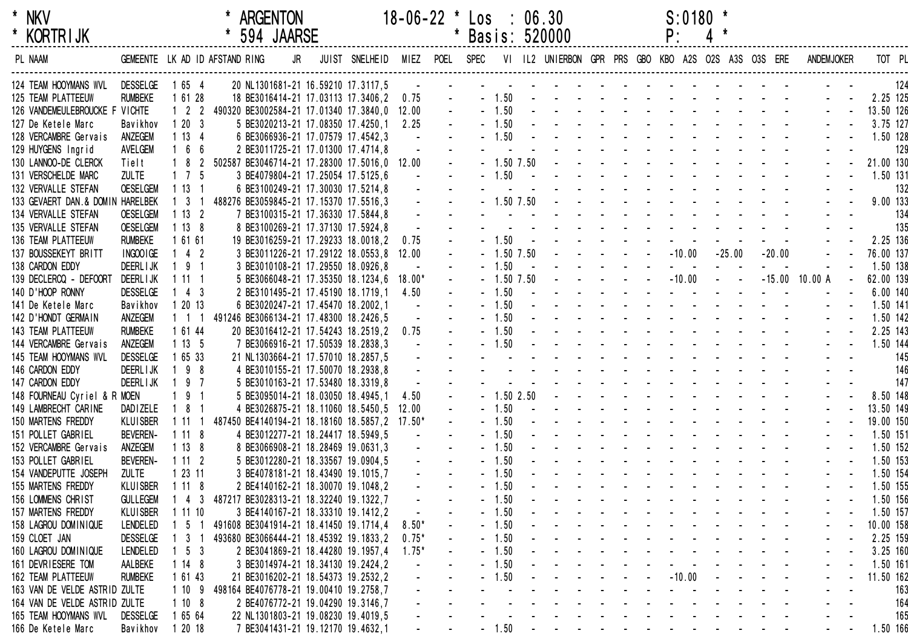| * | NKV        |
|---|------------|
|   | KORTR I JK |

| <b>KORIRIJK</b>                  |                 |                     |                                               | 594 JAARSE                         |                                          |         |           |              | Basis: 520000 |                                                                                                                                                                                                                                                                                                                                                                                                                              | Ρ.                            |                             |                                   |                   |           |     |
|----------------------------------|-----------------|---------------------|-----------------------------------------------|------------------------------------|------------------------------------------|---------|-----------|--------------|---------------|------------------------------------------------------------------------------------------------------------------------------------------------------------------------------------------------------------------------------------------------------------------------------------------------------------------------------------------------------------------------------------------------------------------------------|-------------------------------|-----------------------------|-----------------------------------|-------------------|-----------|-----|
| PL NAAM                          |                 |                     | GEMEENTE LK AD ID AFSTAND RING                | JR                                 | JUIST SNELHEID                           | MIEZ    | POEL SPEC |              |               | VI IL2 UNIERBON GPR PRS GBO KBO A2S O2S A3S O3S ERE                                                                                                                                                                                                                                                                                                                                                                          |                               |                             |                                   | <b>ANDEMJOKER</b> | TOT PL    |     |
| 124 TEAM HOOYMANS WVL DESSELGE   |                 | 1 65 4              |                                               |                                    | 20 NL1301681-21 16.59210 17.3117,5       |         |           |              |               |                                                                                                                                                                                                                                                                                                                                                                                                                              |                               |                             |                                   |                   |           | 124 |
| 125 TEAM PLATTEEUW               | <b>RUMBEKE</b>  | 1 61 28             |                                               |                                    | 18 BE3016414-21 17.03113 17.3406,2       | 0.75    |           | $-1.50$      |               | the contract of the contract of the contract of                                                                                                                                                                                                                                                                                                                                                                              |                               |                             |                                   |                   | 2.25 125  |     |
| 126 VANDEMEULEBROUCKE F VICHTE   |                 |                     | 1 2 2 490320 BE3002584-21 17.01340 17.3840,0  |                                    |                                          | 12.00   |           | $-1.50$      |               | and a series of the contract of the                                                                                                                                                                                                                                                                                                                                                                                          |                               |                             |                                   |                   | 13.50 126 |     |
| 127 De Ketele Marc               | Bavikhov        | 1203                |                                               | 5 BE3020213-21 17.08350 17.4250,1  |                                          | 2.25    |           | $-1.50$      |               | the contract of the contract of the contract of the contract of the contract of the contract of the contract of the contract of the contract of the contract of the contract of the contract of the contract of the contract o                                                                                                                                                                                               |                               |                             |                                   |                   | 3.75 127  |     |
| 128 VERCAMBRE Gervais            | ANZEGEM         | 1134                |                                               | 6 BE3066936-21 17.07579 17.4542,3  |                                          |         |           | $-1.50$      |               | and a straight and a straight and                                                                                                                                                                                                                                                                                                                                                                                            |                               |                             |                                   |                   | 1.50 128  |     |
| 129 HUYGENS Ingrid               | AVELGEM         | 166                 |                                               | 2 BE3011725-21 17.01300 17.4714,8  |                                          |         |           |              |               | and a straight and a straight                                                                                                                                                                                                                                                                                                                                                                                                |                               |                             |                                   |                   |           | 129 |
| 130 LANNOO-DE CLERCK             | Tielt           | $182$               | 502587 BE3046714-21 17.28300 17.5016,0 12.00  |                                    |                                          |         |           | $-1.50$ 7.50 |               | the contract of the contract of the con-                                                                                                                                                                                                                                                                                                                                                                                     |                               |                             |                                   |                   | 21.00 130 |     |
| 131 VERSCHELDE MARC              | <b>ZULTE</b>    | $1 \quad 7 \quad 5$ |                                               | 3 BE4079804-21 17.25054 17.5125,6  |                                          |         |           | $-1.50$      |               | and a straight and a straight                                                                                                                                                                                                                                                                                                                                                                                                |                               |                             |                                   |                   | 1.50 131  |     |
| 132 VERVALLE STEFAN              | <b>OESELGEM</b> | 1131                |                                               | 6 BE3100249-21 17.30030 17.5214,8  |                                          |         |           |              |               | $\mathbf{r} = \mathbf{r} + \mathbf{r} + \mathbf{r} + \mathbf{r} + \mathbf{r} + \mathbf{r} + \mathbf{r} + \mathbf{r} + \mathbf{r} + \mathbf{r} + \mathbf{r} + \mathbf{r} + \mathbf{r} + \mathbf{r} + \mathbf{r} + \mathbf{r} + \mathbf{r} + \mathbf{r} + \mathbf{r} + \mathbf{r} + \mathbf{r} + \mathbf{r} + \mathbf{r} + \mathbf{r} + \mathbf{r} + \mathbf{r} + \mathbf{r} + \mathbf{r} + \mathbf{r} + \mathbf{r} + \mathbf$ |                               |                             |                                   |                   |           | 132 |
| 133 GEVAERT DAN.& DOMIN HARELBEK |                 | $1 \quad 3 \quad 1$ | 488276 BE3059845-21 17.15370 17.5516,3        |                                    |                                          |         |           | $-1.50$ 7.50 |               | the contract of the contract of the                                                                                                                                                                                                                                                                                                                                                                                          |                               |                             |                                   |                   | 9.00 133  |     |
| 134 VERVALLE STEFAN              | <b>OESELGEM</b> | 1132                |                                               | 7 BE3100315-21 17.36330 17.5844,8  |                                          |         |           |              |               |                                                                                                                                                                                                                                                                                                                                                                                                                              |                               |                             |                                   |                   |           | 134 |
| 135 VERVALLE STEFAN              | <b>OESELGEM</b> | 1138                |                                               | 8 BE3100269-21 17.37130 17.5924,8  |                                          |         |           |              |               | $\mathbf{r} = \mathbf{r} + \mathbf{r} + \mathbf{r} + \mathbf{r} + \mathbf{r} + \mathbf{r} + \mathbf{r} + \mathbf{r} + \mathbf{r} + \mathbf{r} + \mathbf{r} + \mathbf{r} + \mathbf{r} + \mathbf{r} + \mathbf{r} + \mathbf{r} + \mathbf{r} + \mathbf{r} + \mathbf{r} + \mathbf{r} + \mathbf{r} + \mathbf{r} + \mathbf{r} + \mathbf{r} + \mathbf{r} + \mathbf{r} + \mathbf{r} + \mathbf{r} + \mathbf{r} + \mathbf{r} + \mathbf$ |                               |                             |                                   |                   |           | 135 |
| 136 TEAM PLATTEEUW               | <b>RUMBEKE</b>  | 1 61 61             |                                               |                                    | 19 BE3016259-21 17.29233 18.0018,2       | 0.75    |           | $-1.50$      |               | $\mathcal{L}^{\mathcal{A}}$ . The set of the set of the set of $\mathcal{A}$                                                                                                                                                                                                                                                                                                                                                 |                               |                             |                                   |                   | 2.25 136  |     |
| 137 BOUSSEKEYT BRITT             | INGOOIGE        | $142$               |                                               |                                    | 3 BE3011226-21 17.29122 18.0553,8        | 12.00   |           | 1.50 7.50    |               | <b>Sales Advised Service</b>                                                                                                                                                                                                                                                                                                                                                                                                 | $-10.00$                      | $-25.00$                    | $-20.00$                          |                   | 76.00 137 |     |
| 138 CARDON EDDY                  | <b>DEERLIJK</b> | $191$               |                                               | 3 BE3010108-21 17.29550 18.0926,8  |                                          |         |           | $-1.50$      |               |                                                                                                                                                                                                                                                                                                                                                                                                                              | $\sim 100$                    |                             |                                   |                   | 1.50 138  |     |
| 139 DECLERCQ - DEFOORT           | DEERL I JK      | 1111                |                                               |                                    | 5 BE3066048-21 17.35350 18.1234,6 18.00* |         |           | $-1.50$ 7.50 |               | $\mathcal{L}(\mathcal{A})$ , and $\mathcal{L}(\mathcal{A})$ , and                                                                                                                                                                                                                                                                                                                                                            | $-10.00$                      | $\Delta \phi = \Delta \phi$ |                                   | $-15.00$ 10.00 A  | 62.00 139 |     |
| 140 D'HOOP RONNY                 | <b>DESSELGE</b> | $143$               |                                               | 2 BE3101495-21 17.45190 18.1719,1  |                                          | 4.50    |           | $-1.50$      |               |                                                                                                                                                                                                                                                                                                                                                                                                                              | and the state of the state of |                             |                                   |                   | 6.00 140  |     |
| 141 De Ketele Marc               | Bavikhov        | 1 20 13             |                                               | 6 BE3020247-21 17.45470 18.2002,1  |                                          |         |           | $-1.50$      |               | and a state of the state of the state                                                                                                                                                                                                                                                                                                                                                                                        |                               |                             |                                   |                   | 1.50 141  |     |
| 142 D'HONDT GERMAIN              | ANZEGEM         | $1 \t1 \t1$         | 491246 BE3066134-21 17.48300 18.2426,5        |                                    |                                          |         |           | $-1.50$      |               | the contract of the contract of the contract of the contract of the contract of the contract of the contract of                                                                                                                                                                                                                                                                                                              |                               |                             |                                   |                   | 1.50 142  |     |
| 143 TEAM PLATTEEUW               | <b>RUMBEKE</b>  | 1 61 44             |                                               |                                    | 20 BE3016412-21 17.54243 18.2519,2       | 0.75    |           | $-1.50$      |               | the contract of the contract of the contract of the contract of the contract of the contract of the contract of the contract of the contract of the contract of the contract of the contract of the contract of the contract o                                                                                                                                                                                               |                               |                             | and the state of the state of the |                   | 2.25 143  |     |
| 144 VERCAMBRE Gervais            | ANZEGEM         | 1135                |                                               | 7 BE3066916-21 17.50539 18.2838,3  |                                          |         |           | $-1.50$      |               |                                                                                                                                                                                                                                                                                                                                                                                                                              |                               |                             |                                   |                   | 1.50 144  |     |
| 145 TEAM HOOYMANS WVL            | <b>DESSELGE</b> | 1 65 33             |                                               | 21 NL1303664-21 17.57010 18.2857,5 |                                          |         |           |              |               |                                                                                                                                                                                                                                                                                                                                                                                                                              |                               |                             |                                   |                   |           | 145 |
| 146 CARDON EDDY                  | <b>DEERLIJK</b> | $198$               |                                               | 4 BE3010155-21 17.50070 18.2938,8  |                                          |         |           |              |               | the contract of the contract of the contract of the contract of the contract of the contract of the contract of                                                                                                                                                                                                                                                                                                              |                               |                             |                                   |                   |           | 146 |
| 147 CARDON EDDY                  | <b>DEERLIJK</b> | $197$               |                                               | 5 BE3010163-21 17.53480 18.3319,8  |                                          |         |           |              |               | and a state of the state of the                                                                                                                                                                                                                                                                                                                                                                                              |                               |                             |                                   |                   |           | 147 |
| 148 FOURNEAU Cyriel & R MOEN     |                 | 191                 |                                               | 5 BE3095014-21 18.03050 18.4945,1  |                                          | 4.50    |           | $-1.502.50$  |               | the contract of the contract of the                                                                                                                                                                                                                                                                                                                                                                                          |                               |                             |                                   |                   | 8.50 148  |     |
| 149 LAMBRECHT CARINE             | <b>DADIZELE</b> | 181                 |                                               |                                    | 4 BE3026875-21 18.11060 18.5450,5        | 12.00   |           | $-1.50$      |               | and a strain and a strain and a                                                                                                                                                                                                                                                                                                                                                                                              |                               |                             |                                   |                   | 13.50 149 |     |
| 150 MARTENS FREDDY               | <b>KLUISBER</b> | 1111                | 487450 BE4140194-21 18.18160 18.5857,2 17.50* |                                    |                                          |         |           | $-1.50$      |               | the second contract of the second contract of the second contract of the second contract of the second contract of the second contract of the second contract of the second contract of the second contract of the second cont                                                                                                                                                                                               |                               |                             |                                   |                   | 19.00 150 |     |
| 151 POLLET GABRIEL               | <b>BEVEREN-</b> | 1118                |                                               | 4 BE3012277-21 18.24417 18.5949,5  |                                          |         |           | $-1.50$      |               | the contract of the contract of the con-                                                                                                                                                                                                                                                                                                                                                                                     |                               |                             |                                   |                   | 1.50 151  |     |
| 152 VERCAMBRE Gervais            | ANZEGEM         | 1138                |                                               | 8 BE3066908-21 18.28469 19.0631,3  |                                          |         |           | $-1.50$      |               | and a strain and a strain and a                                                                                                                                                                                                                                                                                                                                                                                              |                               |                             |                                   |                   | 1.50 152  |     |
| 153 POLLET GABRIEL               | <b>BEVEREN-</b> | 1112                |                                               | 5 BE3012280-21 18.33567 19.0904,5  |                                          |         |           | $-1.50$      |               | design and a state of the state of the                                                                                                                                                                                                                                                                                                                                                                                       |                               |                             |                                   |                   | 1.50 153  |     |
| 154 VANDEPUTTE JOSEPH            | <b>ZULTE</b>    | 12311               |                                               | 3 BE4078181-21 18.43490 19.1015,7  |                                          |         |           | $-1.50$      |               | the contract of the contract of the contract of the contract of the contract of the contract of the contract of the contract of the contract of the contract of the contract of the contract of the contract of the contract o                                                                                                                                                                                               |                               |                             |                                   |                   | 1.50 154  |     |
| 155 MARTENS FREDDY               | <b>KLUISBER</b> | 1118                |                                               |                                    | 2 BE4140162-21 18.30070 19.1048,2        |         |           | $-1.50$      |               |                                                                                                                                                                                                                                                                                                                                                                                                                              |                               |                             |                                   |                   | 1.50 155  |     |
| 156 LOMMENS CHRIST               | <b>GULLEGEM</b> | $143$               | 487217 BE3028313-21 18.32240 19.1322,7        |                                    |                                          |         |           | 1.50         |               |                                                                                                                                                                                                                                                                                                                                                                                                                              |                               |                             |                                   |                   | 1.50 156  |     |
| 157 MARTENS FREDDY               | <b>KLUISBER</b> | 1 11 10             |                                               | 3 BE4140167-21 18.33310 19.1412,2  |                                          |         |           | $-1.50$      |               |                                                                                                                                                                                                                                                                                                                                                                                                                              |                               |                             |                                   |                   | 1.50 157  |     |
| 158 LAGROU DOMINIQUE             | LENDELED        | 1 5                 | 491608 BE3041914-21 18.41450 19.1714,4        |                                    |                                          | $8.50*$ |           | $-1.50$      |               |                                                                                                                                                                                                                                                                                                                                                                                                                              |                               |                             |                                   |                   | 10.00 158 |     |
| 159 CLOET JAN                    | <b>DESSELGE</b> | $1 \quad 3 \quad 1$ | 493680 BE3066444-21 18.45392 19.1833,2        |                                    |                                          | $0.75*$ |           | $-1.50$      |               |                                                                                                                                                                                                                                                                                                                                                                                                                              |                               |                             |                                   |                   | 2.25 159  |     |
| 160 LAGROU DOMINIQUE             | LENDELED        | $1\quad 5\quad 3$   |                                               | 2 BE3041869-21 18.44280 19.1957,4  |                                          | $1.75*$ |           | $-1.50$      |               | $\mathcal{A}$ . The second contribution of the second contribution $\mathcal{A}$                                                                                                                                                                                                                                                                                                                                             |                               |                             |                                   |                   | 3.25 160  |     |
| 161 DEVRIESERE TOM               | AALBEKE         | 1148                |                                               | 3 BE3014974-21 18.34130 19.2424,2  |                                          |         |           | $-1.50$      |               |                                                                                                                                                                                                                                                                                                                                                                                                                              |                               |                             |                                   |                   | 1.50 161  |     |
| 162 TEAM PLATTEEUW               | <b>RUMBEKE</b>  | 1 61 43             |                                               |                                    | 21 BE3016202-21 18.54373 19.2532,2       |         |           | $-1.50$      |               | $       10.00$ $   -$                                                                                                                                                                                                                                                                                                                                                                                                        |                               |                             |                                   |                   | 11.50 162 |     |
| 163 VAN DE VELDE ASTRID ZULTE    |                 | 1109                | 498164 BE4076778-21 19.00410 19.2758,7        |                                    |                                          |         |           |              |               | and the company of the company of                                                                                                                                                                                                                                                                                                                                                                                            |                               |                             |                                   |                   |           | 163 |
| 164 VAN DE VELDE ASTRID ZULTE    |                 | 1108                |                                               | 2 BE4076772-21 19.04290 19.3146,7  |                                          |         |           |              |               |                                                                                                                                                                                                                                                                                                                                                                                                                              | design and a state of the     |                             |                                   |                   |           | 164 |
| 165 TEAM HOOYMANS WVL            | DESSELGE        | 1 65 64             |                                               |                                    | 22 NL1301803-21 19.08230 19.4019,5       |         |           |              |               |                                                                                                                                                                                                                                                                                                                                                                                                                              |                               |                             |                                   |                   |           | 165 |
| 166 De Ketele Marc               | Bavikhov        | 1 20 18             |                                               | 7 BE3041431-21 19.12170 19.4632,1  |                                          |         |           | $-1.50$      |               | the contract of the contract of the con-                                                                                                                                                                                                                                                                                                                                                                                     |                               |                             |                                   |                   | 1.50 166  |     |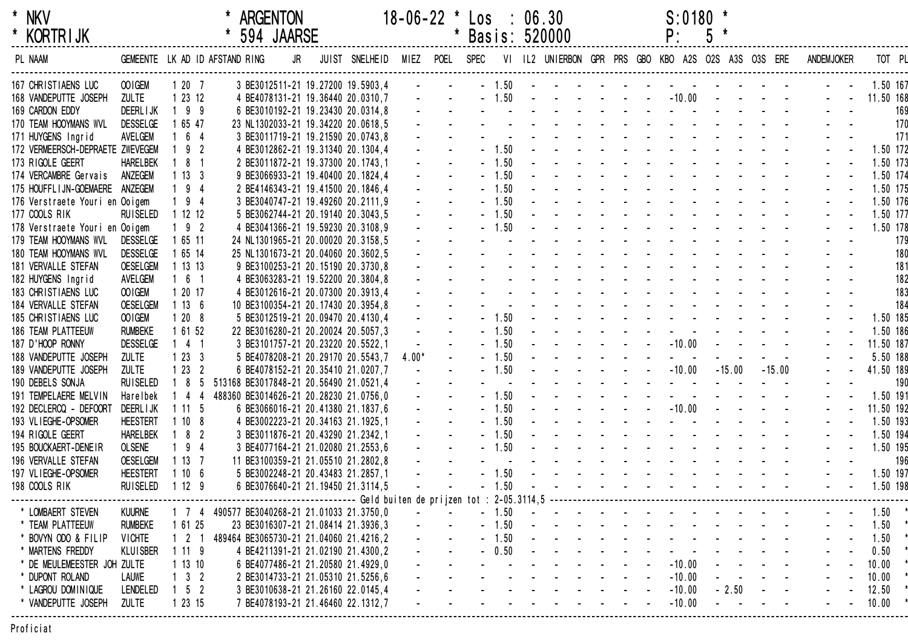| $\star$ | NKV             |
|---------|-----------------|
|         | <b>KORTRIJK</b> |

| <b>KORTRIJK</b>                  |                 |                     |                                              | 594 JAARSE |                                                                                   |         |  |         | Basis: 520000                                                                                                   |                                                                                                                         |  | Ρ.                                   | $\mathfrak{p}$ |                            |                      |                                             |           |          |
|----------------------------------|-----------------|---------------------|----------------------------------------------|------------|-----------------------------------------------------------------------------------|---------|--|---------|-----------------------------------------------------------------------------------------------------------------|-------------------------------------------------------------------------------------------------------------------------|--|--------------------------------------|----------------|----------------------------|----------------------|---------------------------------------------|-----------|----------|
| PL NAAM                          |                 |                     | GEMEENTE LK AD ID AFSTAND RING               | JR         | JUIST SNELHEID MIEZ POEL SPEC VI IL2 UNIERBON GPR PRS GBO KBO A2S O2S A3S O3S ERE |         |  |         |                                                                                                                 |                                                                                                                         |  |                                      |                |                            |                      | <b>ANDEMJOKER</b>                           |           | TOT PL   |
| 167 CHRISTIAENS LUC              | OOIGEM          | 1207                |                                              |            | 3 BE3012511-21 19.27200 19.5903,4                                                 |         |  | $-1.50$ | the contract of the contract of the contract of                                                                 |                                                                                                                         |  |                                      |                |                            |                      |                                             | 1.50 167  |          |
| 168 VANDEPUTTE JOSEPH            | <b>ZULTE</b>    | 12312               |                                              |            | 4 BE4078131-21 19.36440 20.0310,7                                                 |         |  | $-1.50$ |                                                                                                                 |                                                                                                                         |  | $   -10.00$ $   -$                   |                |                            |                      |                                             | 11.50 168 |          |
| 169 CARDON EDDY                  | <b>DEERLIJK</b> | $199$               |                                              |            | 6 BE3010192-21 19.23430 20.0314,8                                                 |         |  |         |                                                                                                                 |                                                                                                                         |  | and a state of the state of the      |                |                            |                      |                                             |           | 169      |
| 170 TEAM HOOYMANS WVL            | <b>DESSELGE</b> | 1 65 47             |                                              |            | 23 NL1302033-21 19.34220 20.0618,5                                                |         |  |         | and a series of the contract of the series of                                                                   |                                                                                                                         |  |                                      |                |                            |                      |                                             |           | 170      |
| 171 HUYGENS Ingrid               | AVELGEM         | 6 4                 |                                              |            | 3 BE3011719-21 19.21590 20.0743,8                                                 |         |  |         | the contract of the contract of the contract of                                                                 |                                                                                                                         |  |                                      |                |                            |                      |                                             |           | 171      |
| 172 VERMEERSCH-DEPRAETE ZWEVEGEM |                 | 9 <sub>2</sub>      |                                              |            | 4 BE3012862-21 19.31340 20.1304,4                                                 |         |  | $-1.50$ | the contract of the contract of the con-                                                                        |                                                                                                                         |  |                                      |                |                            |                      |                                             | 1.50 172  |          |
| 173 RIGOLE GEERT                 | <b>HARELBEK</b> | 8 <sub>1</sub>      |                                              |            | 2 BE3011872-21 19.37300 20.1743,1                                                 |         |  | $-1.50$ | the second contract of the second contract of                                                                   |                                                                                                                         |  |                                      |                |                            |                      |                                             |           | 1.50 173 |
| 174 VERCAMBRE Gervais            | ANZEGEM         | 1133                |                                              |            | 9 BE3066933-21 19.40400 20.1824,4                                                 |         |  | $-1.50$ | the second contract of the second contract of                                                                   |                                                                                                                         |  |                                      |                |                            |                      |                                             |           | 1.50 174 |
| 175 HOUFFLIJN-GOEMAERE ANZEGEM   |                 | $194$               |                                              |            | 2 BE4146343-21 19.41500 20.1846,4                                                 |         |  | $-1.50$ | the second contract of the second contract of                                                                   |                                                                                                                         |  |                                      |                |                            |                      |                                             |           | 1.50 175 |
| 176 Verstraete Youri en Ooigem   |                 | $194$               |                                              |            | 3 BE3040747-21 19.49260 20.2111,9                                                 |         |  | $-1.50$ | the second contract of the second contract of                                                                   |                                                                                                                         |  |                                      |                |                            |                      |                                             |           | 1.50 176 |
| 177 COOLS RIK                    | <b>RUISELED</b> | 1 12 12             |                                              |            | 5 BE3062744-21 20.19140 20.3043,5                                                 |         |  | $-1.50$ | and a series of the contract of the                                                                             |                                                                                                                         |  |                                      |                |                            |                      |                                             |           | 1.50 177 |
| 178 Verstraete Youri en Ooigem   |                 | $192$               |                                              |            | 4 BE3041366-21 19.59230 20.3108,9                                                 |         |  | $-1.50$ |                                                                                                                 |                                                                                                                         |  | the contract of the contract of the  |                |                            |                      |                                             |           | 1.50 178 |
| 179 TEAM HOOYMANS WVL            | <b>DESSELGE</b> | 1 65 11             |                                              |            | 24 NL1301965-21 20.00020 20.3158,5                                                |         |  |         |                                                                                                                 |                                                                                                                         |  | and a straightful and a straight and |                |                            |                      |                                             |           | 179      |
| 180 TEAM HOOYMANS WVL            | <b>DESSELGE</b> | 1 65 14             |                                              |            | 25 NL1301673-21 20.04060 20.3602,5                                                |         |  |         | the contract of the contract of the contract of                                                                 |                                                                                                                         |  |                                      |                |                            |                      |                                             |           | 180      |
| 181 VERVALLE STEFAN              | <b>OESELGEM</b> | 11313               |                                              |            | 9 BE3100253-21 20.15190 20.3730,8                                                 |         |  |         | the contract of the contract of the contract of the contract of the contract of the contract of the contract of |                                                                                                                         |  |                                      |                |                            |                      |                                             |           | 181      |
| 182 HUYGENS Ingrid               | AVELGEM         | 161                 |                                              |            | 4 BE3063283-21 19.52200 20.3804,8                                                 |         |  |         | and a complete the second contract of the second second second second second second second second second second |                                                                                                                         |  |                                      |                |                            |                      |                                             |           | 182      |
| 183 CHRISTIAENS LUC              | OO IGEM         | 1 20 17             |                                              |            | 4 BE3012616-21 20.07300 20.3913,4                                                 |         |  |         | and a straightful and a straight and a straight                                                                 |                                                                                                                         |  |                                      |                |                            |                      |                                             |           | 183      |
| 184 VERVALLE STEFAN              | <b>OESELGEM</b> | 1136                |                                              |            | 10 BE3100354-21 20.17430 20.3954,8                                                |         |  |         | the contract of the contract of the contract of the contract of the contract of the contract of the contract of |                                                                                                                         |  |                                      |                |                            |                      |                                             |           | 184      |
| 185 CHRISTIAENS LUC              | OO IGEM         | 1208                |                                              |            | 5 BE3012519-21 20.09470 20.4130,4                                                 |         |  | $-1.50$ | the contract of the contract of the contract of                                                                 |                                                                                                                         |  |                                      |                |                            |                      |                                             |           | 1.50 185 |
| 186 TEAM PLATTEEUW               | <b>RUMBEKE</b>  | 1 61 52             |                                              |            | 22 BE3016280-21 20.20024 20.5057,3                                                |         |  | $-1.50$ | design and a state of the state of the                                                                          |                                                                                                                         |  |                                      |                |                            |                      |                                             | 1.50 186  |          |
| 187 D'HOOP RONNY                 | <b>DESSELGE</b> | $1 \quad 4 \quad 1$ |                                              |            | 3 BE3101757-21 20.23220 20.5522,1                                                 |         |  | $-1.50$ |                                                                                                                 | and a state of the                                                                                                      |  | $-10.00$                             |                | and the state of the state |                      |                                             | 11.50 187 |          |
| 188 VANDEPUTTE JOSEPH            | <b>ZULTE</b>    | 1233                |                                              |            | 5 BE4078208-21 20.29170 20.5543,7                                                 | $4.00*$ |  | $-1.50$ |                                                                                                                 |                                                                                                                         |  | $\Delta \phi = 0.01$                 |                |                            |                      |                                             | 5.50 188  |          |
| 189 VANDEPUTTE JOSEPH            | <b>ZULTE</b>    | 1232                |                                              |            | 6 BE4078152-21 20.35410 21.0207,7                                                 |         |  | $-1.50$ |                                                                                                                 | $\mathbf{1}^{\prime}$ , $\mathbf{1}^{\prime}$ , $\mathbf{1}^{\prime}$ , $\mathbf{1}^{\prime}$ , $\mathbf{1}^{\prime}$ , |  | $-10.00$                             |                | $-15.00$                   | $-15.00$             |                                             | 41.50 189 |          |
| 190 DEBELS SONJA                 | <b>RUISELED</b> | $185$               | 513168 BE3017848-21 20.56490 21.0521,4       |            |                                                                                   |         |  |         |                                                                                                                 |                                                                                                                         |  | the contract of the contract of      |                |                            |                      |                                             |           | 190      |
| 191 TEMPELAERE MELVIN            | Harelbek        | $144$               | 488360 BE3014626-21 20.28230 21.0756,0       |            |                                                                                   |         |  | $-1.50$ |                                                                                                                 |                                                                                                                         |  | and a series of the contract of      |                |                            |                      |                                             | 1.50 191  |          |
| 192 DECLERCQ - DEFOORT           | <b>DEERLIJK</b> | 1115                |                                              |            | 6 BE3066016-21 20.41380 21.1837,6                                                 |         |  | $-1.50$ |                                                                                                                 |                                                                                                                         |  | $    -10.00$ $-$                     |                |                            | and the state of the |                                             | 11.50 192 |          |
| 193 VLIEGHE-OPSOMER              | <b>HEESTERT</b> | 1108                |                                              |            | 4 BE3002223-21 20.34163 21.1925,1                                                 |         |  | $-1.50$ | design and a series of the series of                                                                            |                                                                                                                         |  |                                      |                |                            |                      |                                             | 1.50 193  |          |
| 194 RIGOLE GEERT                 | <b>HARELBEK</b> | $182$               |                                              |            | 3 BE3011876-21 20.43290 21.2342,1                                                 |         |  | $-1.50$ | the second contract of the second contract of                                                                   |                                                                                                                         |  |                                      |                |                            |                      |                                             |           | 1.50 194 |
| 195 BOUCKAERT-DENEIR             | <b>OLSENE</b>   | $194$               |                                              |            | 3 BE4077164-21 21.02080 21.2553,6                                                 |         |  | $-1.50$ | and a series of the contract of the                                                                             |                                                                                                                         |  |                                      |                |                            |                      |                                             |           | 1.50 195 |
| 196 VERVALLE STEFAN              | <b>OESELGEM</b> | 1137                |                                              |            | 11 BE3100359-21 21.05510 21.2802,8                                                |         |  |         | the contract of the contract of the contract of                                                                 |                                                                                                                         |  |                                      |                |                            |                      |                                             |           | 196      |
| 197 VLIEGHE-OPSOMER              | <b>HEESTERT</b> | 1106                |                                              |            | 5 BE3002248-21 20.43483 21.2857,1                                                 |         |  | 1.50    | and the contract of the contract of the                                                                         |                                                                                                                         |  |                                      |                |                            |                      |                                             | 1.50 197  |          |
| 198 COOLS RIK                    | <b>RUISELED</b> | 1129                |                                              |            | 6 BE3076640-21 21.19450 21.3114,5                                                 |         |  | $-1.50$ | the contract of the contract of the contract of                                                                 |                                                                                                                         |  |                                      |                |                            |                      | $\omega_{\rm{max}}$ and $\omega_{\rm{max}}$ | 1.50 198  |          |
|                                  |                 |                     |                                              |            |                                                                                   |         |  |         |                                                                                                                 |                                                                                                                         |  |                                      |                |                            |                      |                                             |           |          |
| * LOMBAERT STEVEN                | <b>KUURNE</b>   |                     | 1 7 4 490577 BE3040268-21 21.01033 21.3750,0 |            |                                                                                   |         |  | $-1.50$ | المناجر والمناجر والمناجر والمناجر والمناجر                                                                     |                                                                                                                         |  |                                      |                |                            |                      |                                             | 1.50      |          |
| * TEAM PLATTEEUW                 | <b>RUMBEKE</b>  | 1 61 25             |                                              |            | 23 BE3016307-21 21.08414 21.3936,3                                                |         |  | 1.50    |                                                                                                                 |                                                                                                                         |  |                                      |                |                            |                      |                                             | 1.50      |          |
| * BOVYN ODO & FILIP              | <b>VICHTE</b>   | $1 \quad 2 \quad 1$ | 489464 BE3065730-21 21.04060 21.4216,2       |            |                                                                                   |         |  | 1.50    |                                                                                                                 |                                                                                                                         |  |                                      |                |                            |                      |                                             | 1.50      |          |
| * MARTENS FREDDY                 | <b>KLUISBER</b> | 1119                |                                              |            | 4 BE4211391-21 21.02190 21.4300,2                                                 |         |  | 0.50    |                                                                                                                 |                                                                                                                         |  |                                      |                |                            |                      |                                             | 0.50      |          |
| * DE MEULEMEESTER JOH ZULTE      |                 | 11310               |                                              |            | 6 BE4077486-21 21.20580 21.4929,0                                                 |         |  |         |                                                                                                                 |                                                                                                                         |  | $-10.00$                             |                |                            |                      |                                             | 10.00     |          |
| * DUPONT ROLAND                  | <b>LAUWE</b>    | $1 \quad 3 \quad 2$ |                                              |            | 2 BE3014733-21 21.05310 21.5256,6                                                 |         |  |         |                                                                                                                 |                                                                                                                         |  | $-10.00$                             |                |                            |                      |                                             | 10.00     |          |
| * LAGROU DOMINIQUE               | <b>LENDELED</b> | 5 <sub>2</sub>      |                                              |            | 3 BE3010638-21 21.26160 22.0145,4                                                 |         |  |         |                                                                                                                 |                                                                                                                         |  | $-10.00$                             |                | $-2.50$                    |                      |                                             | 12.50     |          |
| * VANDEPUTTE JOSEPH              | <b>ZULTE</b>    | 1 23 15             |                                              |            | 7 BE4078193-21 21.46460 22.1312.7                                                 |         |  |         |                                                                                                                 |                                                                                                                         |  | $-10.00$                             |                |                            |                      |                                             | 10.00     |          |
|                                  |                 |                     |                                              |            |                                                                                   |         |  |         |                                                                                                                 |                                                                                                                         |  |                                      |                |                            |                      |                                             |           |          |